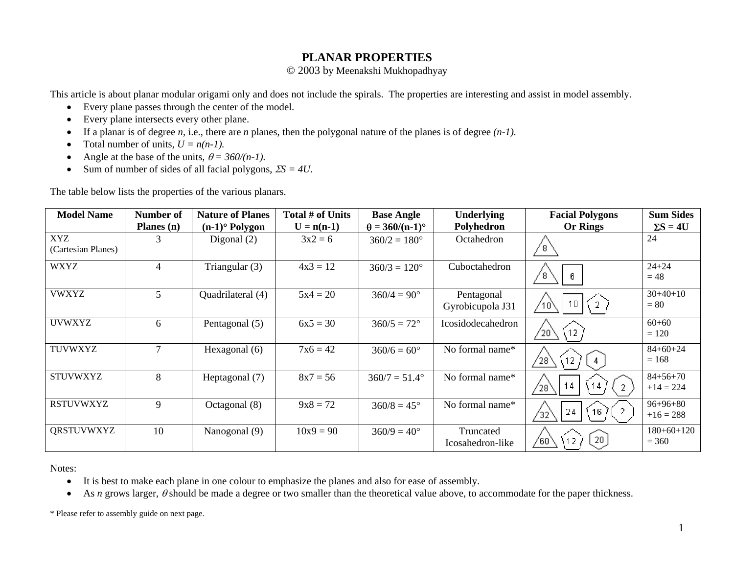## **PLANAR PROPERTIES**

© 2003 by Meenakshi Mukhopadhyay

This article is about planar modular origami only and does not include the spirals. The properties are interesting and assist in model assembly.

- Every plane passes through the center of the model.
- $\bullet$ Every plane intersects every other plane.
- •If a planar is of degree *<sup>n</sup>*, i.e., there are *n* planes, then the polygonal nature of the planes is of degree *(n-1).*
- •Total number of units,  $U = n(n-1)$ .
- •Angle at the base of the units,  $\theta = 360/(n-1)$ .
- •Sum of number of sides of all facial polygons, Σ*S = 4U*.

The table below lists the properties of the various planars.

| <b>Model Name</b>         | Number of  | <b>Nature of Planes</b>      | Total # of Units | <b>Base Angle</b>      | <b>Underlying</b>              | <b>Facial Polygons</b>                                    | <b>Sum Sides</b>              |
|---------------------------|------------|------------------------------|------------------|------------------------|--------------------------------|-----------------------------------------------------------|-------------------------------|
|                           | Planes (n) | $(n-1)$ <sup>o</sup> Polygon | $U = n(n-1)$     | $\theta = 360/(n-1)$ ° | Polyhedron                     | <b>Or Rings</b>                                           | $\Sigma S = 4U$               |
| XYZ<br>(Cartesian Planes) |            | Digonal $(2)$                | $3x^2 = 6$       | $360/2 = 180^{\circ}$  | Octahedron                     | 8                                                         | 24                            |
| <b>WXYZ</b>               | 4          | Triangular (3)               | $4x3 = 12$       | $360/3 = 120^{\circ}$  | Cuboctahedron                  | 8<br>6.                                                   | $24 + 24$<br>$= 48$           |
| <b>VWXYZ</b>              | 5          | Quadrilateral (4)            | $5x4 = 20$       | $360/4 = 90^{\circ}$   | Pentagonal<br>Gyrobicupola J31 | 10 <sub>1</sub><br>$\left(2\right)$                       | $30+40+10$<br>$= 80$          |
| <b>UVWXYZ</b>             | 6          | Pentagonal (5)               | $6x5 = 30$       | $360/5 = 72^{\circ}$   | Icosidodecahedron              | 12<br>$^{\prime}20$                                       | $60 + 60$<br>$= 120$          |
| <b>TUVWXYZ</b>            | 7          | Hexagonal (6)                | $7x6 = 42$       | $360/6 = 60^{\circ}$   | No formal name*                | $^{\prime}$ 28<br>12 <sub>1</sub>                         | $84+60+24$<br>$= 168$         |
| <b>STUVWXYZ</b>           | 8          | Heptagonal (7)               | $8x7 = 56$       | $360/7 = 51.4^{\circ}$ | No formal name*                | 14 <sub>1</sub><br>14<br>$\overline{2}$<br>$^{\prime}$ 28 | $84 + 56 + 70$<br>$+14 = 224$ |
| <b>RSTUVWXYZ</b>          | 9          | Octagonal (8)                | $9x8 = 72$       | $360/8 = 45^{\circ}$   | No formal name*                | 24<br>(16)<br>′32                                         | $96+96+80$<br>$+16 = 288$     |
| <b>QRSTUVWXYZ</b>         | 10         | Nanogonal (9)                | $10x9 = 90$      | $360/9 = 40^{\circ}$   | Truncated<br>Icosahedron-like  | 20<br>12<br>/60`                                          | $180+60+120$<br>$= 360$       |

Notes:

- It is best to make each plane in one colour to emphasize the planes and also for ease of assembly.
- •As *n* grows larger, θ should be made a degree or two smaller than the theoretical value above, to accommodate for the paper thickness.

\* Please refer to assembly guide on next page.